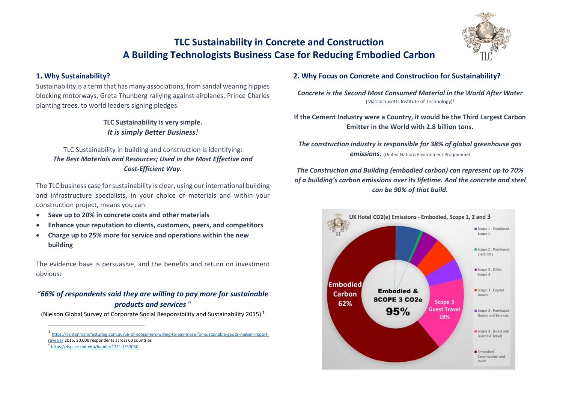

# **TLC Sustainability in Concrete and Construction A Building Technologists Business Case for Reducing Embodied Carbon**

### **1. Why Sustainability?**

Sustainability is a term that has many associations, from sandal wearing hippies blocking motorways, Greta Thunberg rallying against airplanes, Prince Charles planting trees, to world leaders signing pledges.

> **TLC Sustainability is very simple.**  *It is simply Better Business!*

## TLC Sustainability in building and construction is identifying: *The Best Materials and Resources; Used in the Most Effective and Cost-Efficient Way.*

The TLC business case for sustainability is clear, using our international building and infrastructure specialists, in your choice of materials and within your construction project, means you can:

- **Save up to 20% in concrete costs and other materials**
- **Enhance your reputation to clients, customers, peers, and competitors**
- **Charge up to 25% more for service and operations within the new building**

The evidence base is persuasive, and the benefits and return on investment obvious:

## *"66% of respondents said they are willing to pay more for sustainable products and services* "

(Nielson Global Survey of Corporate Social Responsibility and Sustainability 2015) <sup>1</sup>

1 [https://ashtonmanufacturing.com.au/66-of-consumers-willing-to-pay-more-for-sustainable-goods-nielsen-report](https://ashtonmanufacturing.com.au/66-of-consumers-willing-to-pay-more-for-sustainable-goods-nielsen-report-reveals/)[reveals/](https://ashtonmanufacturing.com.au/66-of-consumers-willing-to-pay-more-for-sustainable-goods-nielsen-report-reveals/) 2015, 30,000 respondents across 60 countries

<sup>1</sup> <https://dspace.mit.edu/handle/1721.1/33030>

## **2. Why Focus on Concrete and Construction for Sustainability?**

*Concrete is the Second Most Consumed Material in the World After Water* (Massachusetts Institute of Technology) 2

**If the Cement Industry were a Country, it would be the Third Largest Carbon Emitter in the World with 2.8 billion tons.**

*The construction industry is responsible for 38% of global greenhouse gas*  **emissions.** (United Nations Environment Programme)

*The Construction and Building (embodied carbon) can represent up to 70% of a building's carbon emissions over its lifetime. And the concrete and steel can be 90% of that build.*

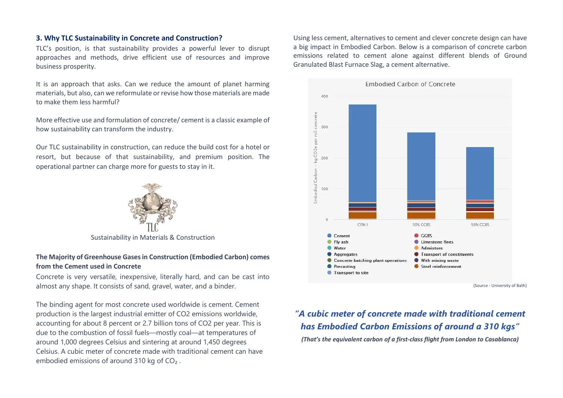#### **3. Why TLC Sustainability in Concrete and Construction?**

TLC's position, is that sustainability provides a powerful lever to disrupt approaches and methods, drive efficient use of resources and improve business prosperity.

It is an approach that asks. Can we reduce the amount of planet harming materials, but also, can we reformulate or revise how those materials are made to make them less harmful?

More effective use and formulation of concrete/ cement is a classic example of how sustainability can transform the industry.

Our TLC sustainability in construction, can reduce the build cost for a hotel or resort, but because of that sustainability, and premium position. The operational partner can charge more for guests to stay in it.



Sustainability in Materials & Construction

#### **The Majority of Greenhouse Gases in Construction (Embodied Carbon) comes from the Cement used in Concrete**

Concrete is very versatile, inexpensive, literally hard, and can be cast into almost any shape. It consists of sand, gravel, water, and a binder.

The binding agent for most concrete used worldwide is cement. Cement production is the largest industrial emitter of CO2 emissions worldwide, accounting for about 8 percent or 2.7 billion tons of CO2 per year. This is due to the combustion of fossil fuels—mostly coal—at temperatures of around 1,000 degrees Celsius and sintering at around 1,450 degrees Celsius. A cubic meter of concrete made with traditional cement can have embodied emissions of around 310 kg of CO<sub>2</sub>.

Using less cement, alternatives to cement and clever concrete design can have a big impact in Embodied Carbon. Below is a comparison of concrete carbon emissions related to cement alone against different blends of Ground Granulated Blast Furnace Slag, a cement alternative.



(Source - University of Bath)

# *"A cubic meter of concrete made with traditional cement has Embodied Carbon Emissions of around a 310 kgs" (That's the equivalent carbon of a first-class flight from London to Casablanca)*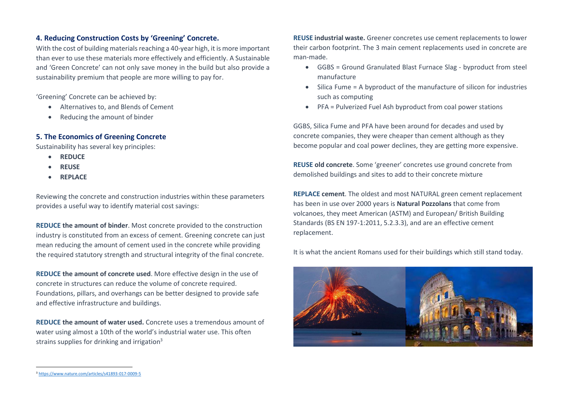#### **4. Reducing Construction Costs by 'Greening' Concrete.**

With the cost of building materials reaching a 40-year high, it is more important than ever to use these materials more effectively and efficiently. A Sustainable and 'Green Concrete' can not only save money in the build but also provide a sustainability premium that people are more willing to pay for.

'Greening' Concrete can be achieved by:

- Alternatives to, and Blends of Cement
- Reducing the amount of binder

#### **5. The Economics of Greening Concrete**

Sustainability has several key principles:

- **REDUCE**
- **REUSE**
- **REPLACE**

Reviewing the concrete and construction industries within these parameters provides a useful way to identify material cost savings:

**REDUCE the amount of binder**. Most concrete provided to the construction industry is constituted from an excess of cement. Greening concrete can just mean reducing the amount of cement used in the concrete while providing the required statutory strength and structural integrity of the final concrete.

**REDUCE the amount of concrete used**. More effective design in the use of concrete in structures can reduce the volume of concrete required. Foundations, pillars, and overhangs can be better designed to provide safe and effective infrastructure and buildings.

**REDUCE the amount of water used.** Concrete uses a tremendous amount of water using almost a 10th of the world's industrial water use. This often strains supplies for drinking and irrigation $3$ 

**REUSE industrial waste.** Greener concretes use cement replacements to lower their carbon footprint. The 3 main cement replacements used in concrete are man-made.

- GGBS = Ground Granulated Blast Furnace Slag byproduct from steel manufacture
- Silica Fume = A byproduct of the manufacture of silicon for industries such as computing
- PFA = Pulverized Fuel Ash byproduct from coal power stations

GGBS, Silica Fume and PFA have been around for decades and used by concrete companies, they were cheaper than cement although as they become popular and coal power declines, they are getting more expensive.

**REUSE old concrete**. Some 'greener' concretes use ground concrete from demolished buildings and sites to add to their concrete mixture

**REPLACE cement**. The oldest and most NATURAL green cement replacement has been in use over 2000 years is **Natural Pozzolans** that come from volcanoes, they meet American (ASTM) and European/ British Building Standards (BS EN 197-1:2011, 5.2.3.3), and are an effective cement replacement.

It is what the ancient Romans used for their buildings which still stand today.



<sup>3</sup> <https://www.nature.com/articles/s41893-017-0009-5>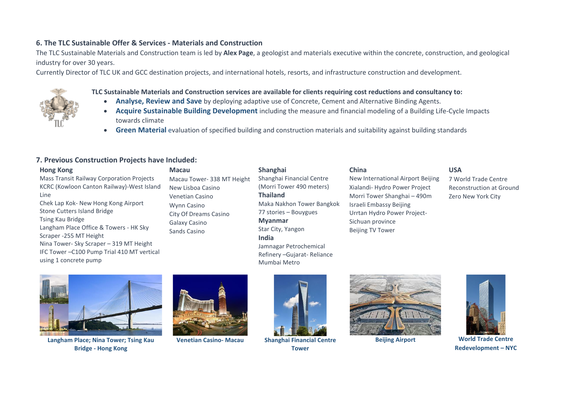### **6. The TLC Sustainable Offer & Services - Materials and Construction**

The TLC Sustainable Materials and Construction team is led by **Alex Page**, a geologist and materials executive within the concrete, construction, and geological industry for over 30 years.

Currently Director of TLC UK and GCC destination projects, and international hotels, resorts, and infrastructure construction and development.



- **TLC Sustainable Materials and Construction services are available for clients requiring cost reductions and consultancy to:**
	- **Analyse, Review and Save** by deploying adaptive use of Concrete, Cement and Alternative Binding Agents.
	- **Acquire Sustainable Building Development** including the measure and financial modeling of a Building Life-Cycle Impacts towards climate
	- **Green Material** evaluation of specified building and construction materials and suitability against building standards

#### **7. Previous Construction Projects have Included:**

#### **Hong Kong**

Mass Transit Railway Corporation Projects KCRC (Kowloon Canton Railway)-West Island Line

Chek Lap Kok- New Hong Kong Airport Stone Cutters Island Bridge Tsing Kau Bridge Langham Place Office & Towers - HK Sky Scraper -255 MT Height Nina Tower- Sky Scraper – 319 MT Height IFC Tower –C100 Pump Trial 410 MT vertical using 1 concrete pump

**Macau** Macau Tower- 338 MT Height New Lisboa Casino Venetian Casino Wynn Casino City Of Dreams Casino Galaxy Casino Sands Casino

## **Shanghai**

Shanghai Financial Centre (Morri Tower 490 meters) **Thailand**

Maka Nakhon Tower Bangkok 77 stories – Bouygues

**Myanmar** Star City, Yangon

**India**

Jamnagar Petrochemical Refinery –Gujarat- Reliance Mumbai Metro



New International Airport Beijing Xialandi- Hydro Power Project Morri Tower Shanghai – 490m Israeli Embassy Beijing Urrtan Hydro Power Project-Sichuan province Beijing TV Tower

#### **USA**

7 World Trade Centre Reconstruction at Ground Zero New York City



**Langham Place; Nina Tower; Tsing Kau Bridge - Hong Kong**





**Venetian Casino- Macau Shanghai Financial Centre Tower**





**Beijing Airport World Trade Centre Redevelopment – NYC**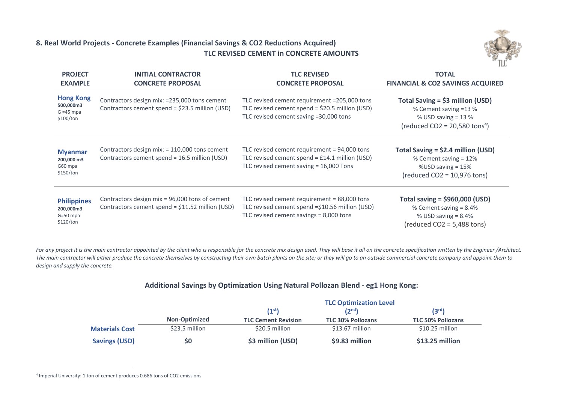## **8. Real World Projects - Concrete Examples (Financial Savings & CO2 Reductions Acquired) TLC REVISED CEMENT in CONCRETE AMOUNTS**



| <b>PROJECT</b>                                             | <b>INITIAL CONTRACTOR</b>                                                                          | <b>TLC REVISED</b>                                                                                                                          | <b>TOTAL</b>                                                                                                                     |
|------------------------------------------------------------|----------------------------------------------------------------------------------------------------|---------------------------------------------------------------------------------------------------------------------------------------------|----------------------------------------------------------------------------------------------------------------------------------|
| <b>EXAMPLE</b>                                             | <b>CONCRETE PROPOSAL</b>                                                                           | <b>CONCRETE PROPOSAL</b>                                                                                                                    | <b>FINANCIAL &amp; CO2 SAVINGS ACQUIRED</b>                                                                                      |
| <b>Hong Kong</b><br>500,000m3<br>$G = 45$ mpa<br>\$100/ton | Contractors design mix: =235,000 tons cement<br>Contractors cement spend = \$23.5 million (USD)    | TLC revised cement requirement =205,000 tons<br>TLC revised cement spend = \$20.5 million (USD)<br>TLC revised cement saving =30,000 tons   | Total Saving = \$3 million (USD)<br>% Cement saving =13 %<br>% USD saving $=$ 13 %<br>(reduced $CO2 = 20,580 \text{ tons}^4$ )   |
| <b>Myanmar</b><br>200,000 m3<br>G60 mpa<br>\$150/ton       | Contractors design mix: = 110,000 tons cement<br>Contractors cement spend = 16.5 million (USD)     | TLC revised cement requirement = 94,000 tons<br>TLC revised cement spend = $£14.1$ million (USD)<br>TLC revised cement saving = 16,000 Tons | Total Saving = \$2.4 million (USD)<br>% Cement saving = 12%<br>%USD saving = 15%<br>$(\text{reduced CO2} = 10,976 \text{ tons})$ |
| <b>Philippines</b><br>200,000m3<br>$G=50$ mpa<br>\$120/ton | Contractors design mix = 96,000 tons of cement<br>Contractors cement spend = \$11.52 million (USD) | TLC revised cement requirement = 88,000 tons<br>TLC revised cement spend =\$10.56 million (USD)<br>TLC revised cement savings = 8,000 tons  | Total saving = $$960,000$ (USD)<br>% Cement saving = 8.4%<br>% USD saving = 8.4%<br>$(\text{reduced CO2} = 5,488 \text{ tons})$  |

For any project it is the main contractor appointed by the client who is responsible for the concrete mix design used. They will base it all on the concrete specification written by the Engineer /Architect. *The main contractor will either produce the concrete themselves by constructing their own batch plants on the site; or they will go to an outside commercial concrete company and appoint them to design and supply the concrete.*

#### **Additional Savings by Optimization Using Natural Pollozan Blend - eg1 Hong Kong:**

|                       |                      | <b>TLC Optimization Level</b> |                          |                          |
|-----------------------|----------------------|-------------------------------|--------------------------|--------------------------|
|                       |                      | (1 <sup>st</sup> )            | (2 <sup>nd</sup> )       | (3 <sup>rd</sup> )       |
|                       | <b>Non-Optimized</b> | <b>TLC Cement Revision</b>    | <b>TLC 30% Pollozans</b> | <b>TLC 50% Pollozans</b> |
| <b>Materials Cost</b> | \$23.5 million       | \$20.5 million                | \$13.67 million          | $$10.25$ million         |
| <b>Savings (USD)</b>  | SO                   | \$3 million (USD)             | \$9.83 million           | $$13.25$ million         |

<sup>4</sup> Imperial University: 1 ton of cement produces 0.686 tons of CO2 emissions